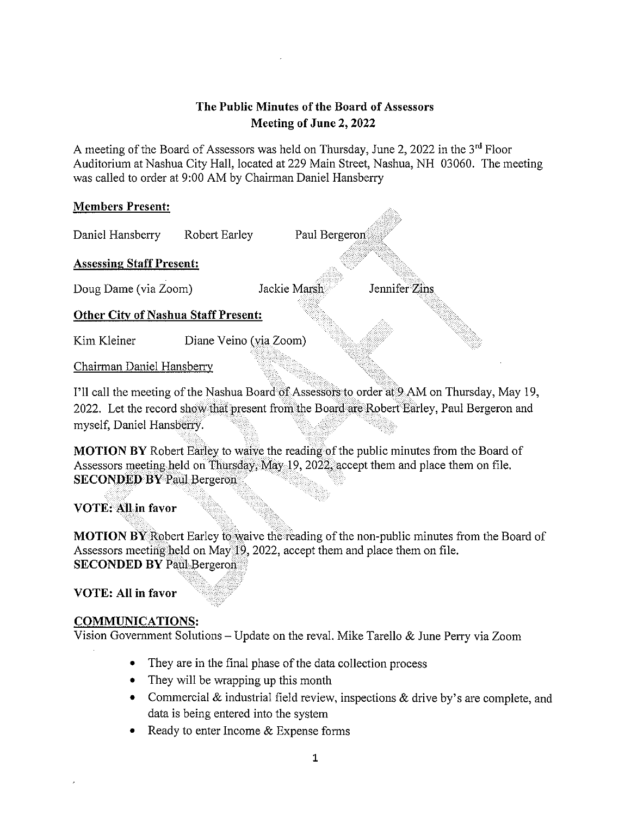# The Public Minutes of the Board of Assessors Meeting of June 2, 2022

A meeting of the Board of Assessors was held on Thursday, June 2, 2022 in the  $3<sup>rd</sup>$  Floor Auditorium at Nashua City Hall, located at 229 Main Street, Nashua, NH 03060. The meeting was called to order at 9:00 AM by Chairman Daniel Hansberry

## Members Present:

Daniel Hansberry Robert Earley Paul Bergeron Assessing Staff Present: Doug Dame (via Zoom) Jackie Marsh Jennifer Zins Other City of Nashua Staff Present: Kim Kleiner Diane Veino (via Zoom)

Chairman Daniel Hansberry

I'll call the meeting of the Nashua Board of Assessors to order at9 AM on Thursday, May 19, 2022. Let the record show that present from the Board are Robert Barley, Paul Bergeron and myself, Daniel Hansberry.

MOTION BY Robert Earley to waive the reading of the public minutes from the Board of Assessors meeting held on Thursday, May 19, 2022, accept them and place them on file. SECONDED BY Paul Bergeron

VOTE; All in favor

MOTION BY Robert Earley to waive the reading of the non-public minutes from the Board of Assessors meeting held on May 19, 2022, accept them and place them on file. SECONDED BY Paul Bergeron

VOTE: All in favor

## COMMUNICATIONS:

Vision Government Solutions — Update on the reval. Mike Tarello & June Perry via Zoom

- They are in the final phase of the data collection process
- They will be wrapping up this month
- Commercial & industrial field review, inspections & drive by's are complete, and data is being entered into the system
- Ready to enter Income & Expense forms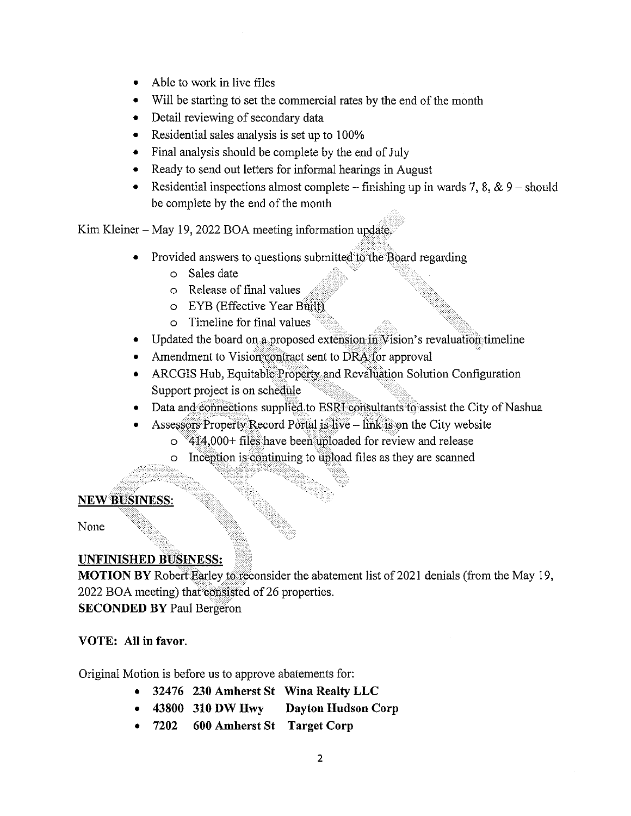- Able to work in live files
- Will be starting to set the commercial rates by the end of the month
- Detail reviewing of secondary data
- Residential sales analysis is set up to 100%
- Final analysis should be complete by the end of July
- Ready to send out letters for informal hearings in August
- Residential inspections almost complete finishing up in wards 7, 8, & 9 should be complete by the end of the month

Kim Kleiner — May 19, 2022 BOA meeting information update.

- Provided answers to questions submitted to the Board regarding
	- o Sales date
	- o Release of final values
	- o EYB (Effective Year Built)
	- o Timeline for final values
- Updated the board on a proposed extension in Vision's revaluation timeline
- Amendment to Vision contract sent to DRA for approval
- ARCGIS Hub, Equitable Property and Revaluation Solution Configuration Support project is on schedule
- Data and connections supplied to ESRI consultants to assist the City of Nashua
- Assessors Property Record Portal is live link is on the City website
	- o 414,000+ files have been uploaded for review and release
	- $\circ$  Inception is continuing to upload files as they are scanned

## NEW BUSINESS:

None

# UNFINISHED BUSINESS:

MOTION BY Robert Earley to reconsider the abatement list of 2021 denials (from the May 19, 2022 BOA meeting) that consisted of 26 properties. SECONDED BY Paul Bergeron

## VOTE: All in favor.

Original Motion is before us to approve abatements for:

- 32476 230 Amherst St Wina Realty LLC
- 43800 310 DW Hwy Dayton Hudson Corp
- 7202 600 Amherst St Target Corp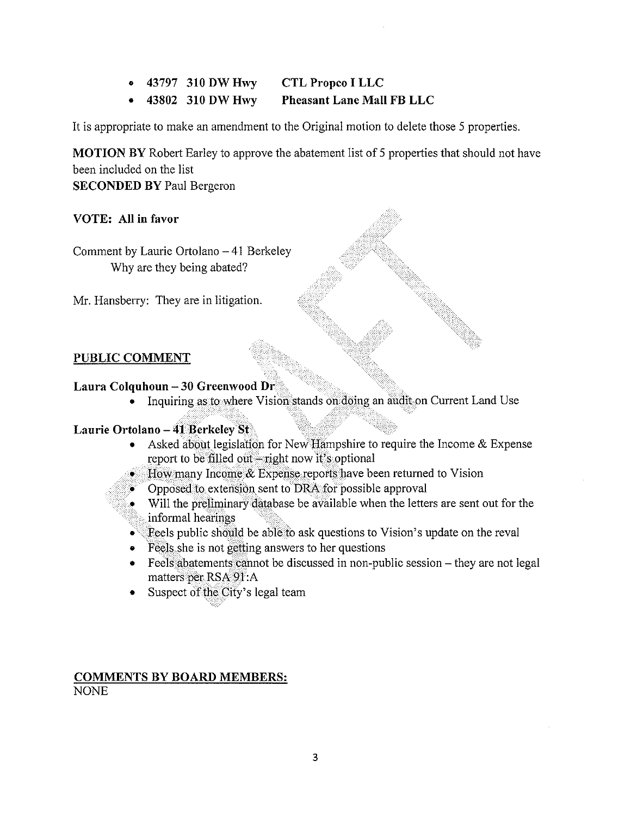- 43797 310 DW Hwy CTL Propeo I LLC
- 43802 310 DW Hwy Pheasant Lane Mall FB LLC

It is appropriate to make an amendment to the Original motion to delete those <sup>5</sup> properties.

MOTION BY Robert Earley to approve the abatement list of <sup>5</sup> properties that should not have been included on the list SECONDED BY Paul Bergeron

VOTE: All in favor

Comment by Laurie Ortolano  $-41$  Berkeley Why are they being abated?

Mr. Hansberry: They are in litigation.

# PUBLIC COMMENT

## Laura Colquhoun —30 Greenwood Dr

• Inquiring as to where Vision stands on doing an audit on Current Land Use

## Laurie Ortolano — 41 Berkeley St

• Asked about legislation for New Hampshire to require the Income & Expense report to be filled out—right now it's optional

• How many Income & Expense reports have been returned to Vision

- Opposed to extension sent to DRA for possible approval
- Will the preliminary database be available when the letters are sent out for the informal hearings
- Feels public should be able to ask questions to Vision's update on the reval
- Feels she is not getting answers to her questions
- Feels abatements cannot be discussed in non-public session they are not legal matters per RSA 91:A
- Suspect of the City's legal team

## COMMENTS BY BOARD MEMBERS: NONE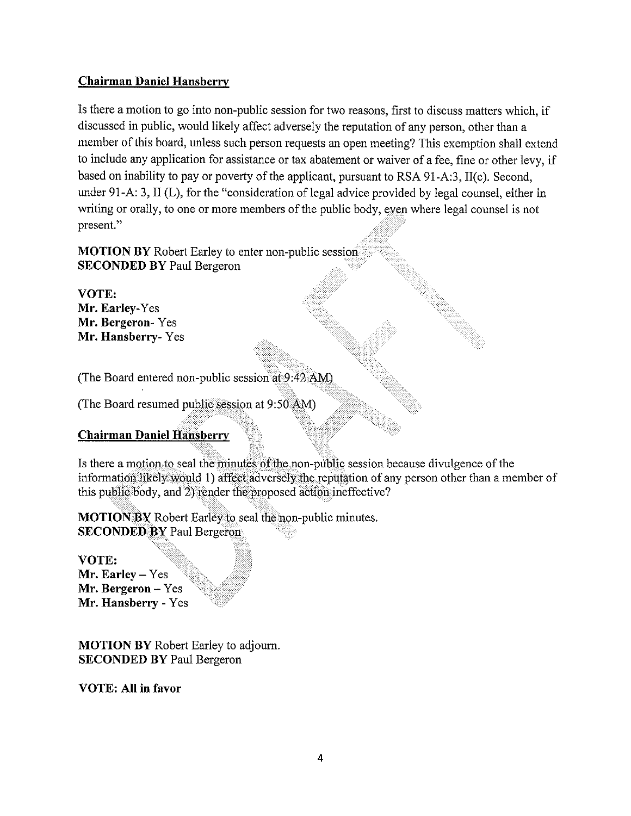## Chairman Daniel Hansberry

Is there <sup>a</sup> motion to go into non-public session for two reasons, first to discuss matters which, if discussed in public, would likely affect adversely the reputation of any person, other than <sup>a</sup> member of Ihis board, unless such person requests an open meeting? This exemption shall extend to include any application for assistance or tax abatement or waiver of <sup>a</sup> fee, fine or other levy, if based on inability to pay or poverty of the applicant, pursuant to RSA <sup>91</sup> -A:3, 11(c). Second, under 91-A: 3, 11(L), for the "consideration of legal advice provided by legal counsel, either in writing or orally, to one or more members of the public body, even where legal counsel is not present."

**MOTION BY** Robert Earley to enter non-public session SECONDED BY Paul Bergeron

VOTE: Mr. Earley-Yes Mr. Bergeron- Yes Mr. Hansberry- Yes

(The Board entered non-public session at 9:42 AM)

(The Board resumed public session at 9:50 AM)

# Chairman Daniel Hansberry

Is there a motion to seal the minutes of the non-public session because divulgence of the information likely would 1) affect adversely the reputation of any person other than <sup>a</sup> member of this public body, and 2) render the proposed action ineffective?

**MOTION BY** Robert Earley to seal the non-public minutes. SECONDED BY Paul Bergeron.

VOTE: Mr. Earley — Yes Mr. Bergeron — Yes Mr. Hansberry - Yes

MOTION BY Robert Earley to adjourn. SECONDED BY Paul Bergeron

VOTE: All in favor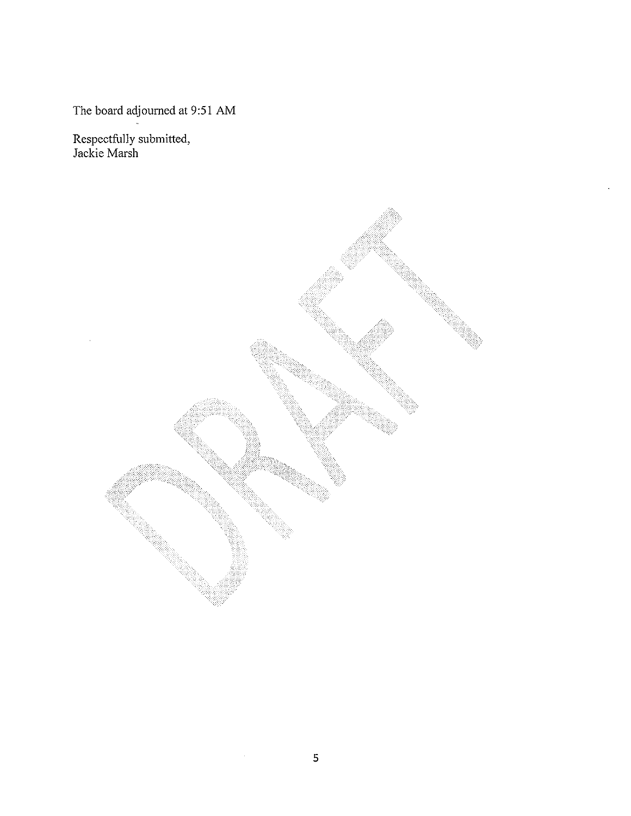The board adjourned at 9:51 AM

Respectfully submitted, Jackie Marsh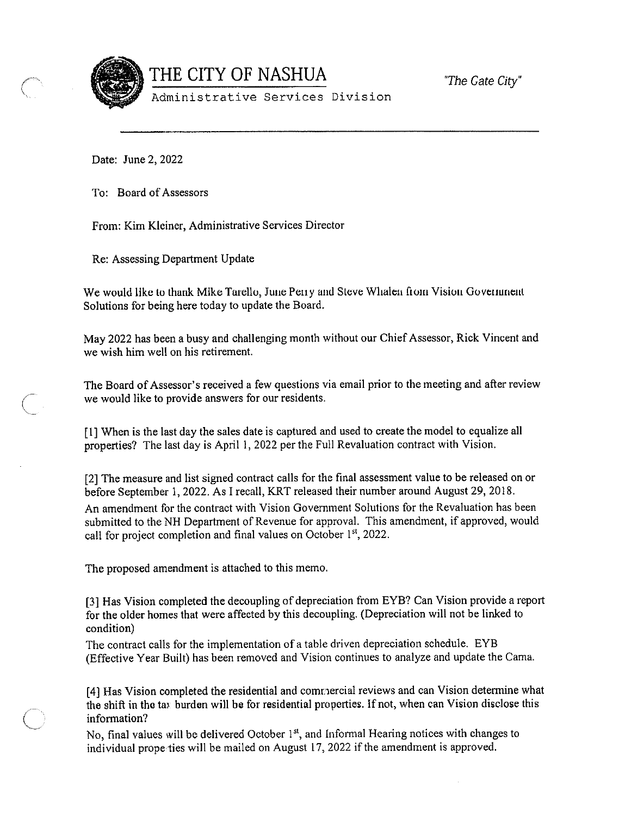

 $\begin{aligned} \text{THE CITY OF NASAUA} \hspace{2.2cm} & \hspace{2.2cm} \text{``The Gate City''} \end{aligned}$ 

Administrative Services Division

Date: June 2, 2022

To: Board of Assessors

From: Kim Kleiner, Administrative Services Director

Re: Assessing Department Update

We would like to thank Mike Tarello, June Peny and Steve Whalen from Vision Government Solutions for being here today to update the Board.

May 2022 has been <sup>a</sup> busy and challenging month without our Chief Assessor, Rick Vincent and we wish him well on his retirement.

The Board of Assessor's received <sup>a</sup> few questions via email prior to the meeting and after review we would like to provide answers for our residents.

[1] When is the last day the sales date is captured and used to create the model to equalize all properties? The last day is April 1, 2022 per the Full Revaluation contract with Vision.

[2] The measure and list signed contract calls for the final assessment value to be released on or before September 1,2022. As I recall, KRT released their number around August 29, 2018. An amendment for the contract with Vision Government Solutions for the Revaluation has been submitted to the NH Department of Revenue for approval, This amendment, if approved, would call for project completion and final values on October  $1<sup>st</sup>$ , 2022.

The proposed amendment is attached to this memo.

[3] Has Vision completed the decoupling of depreciation from EYB? Can Vision provide <sup>a</sup> report for the older homes that were affected by this decoupling. (Depreciation will not be linked to condition)

The contract calls for the implementation of <sup>a</sup> table driven depreciation schedule. EYB (Effective Year Built) has been removed and Vision continues to analyze and update the Cama.

[4] Has Vision completed the residential and comnercial reviews and can Vision determine what the shift in the tax burden will be for residential properties. If not, when can Vision disclose this information?

No, final values will be delivered October 1<sup>st</sup>, and Informal Hearing notices with changes to individual properties will be mailed on August 17, 2022 if the amendment is approved.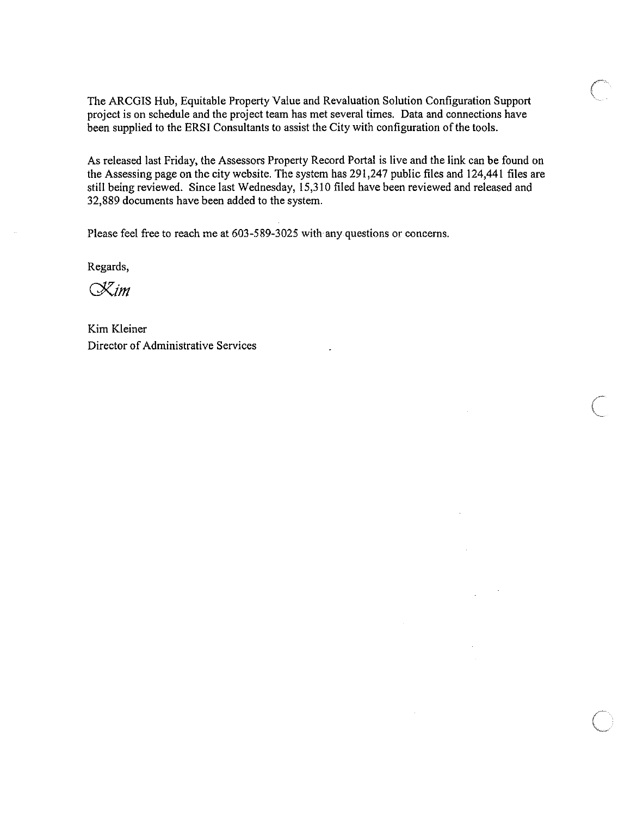The ARCGIS Hub, Equitable Property Value and Revaluation Solution Configuration Support project is on schedule and the project team has met several times. Data and connections have been supplied to the ERSI Consultants to assist the City with configuration of the tools.

As released last Friday, the Assessors Property Record Portal is live and the link can be found on the Assessing page on the city website. The system has 291,247 public files and 124,441 fIles are still being reviewed. Since last Wednesday, 15,310 filed have been reviewed and released and 32,889 documents have been added to the system.

 $\overline{C}$ 

Please feel free to reach me at 603-589-3025 with any questions or concerns.

Regards,

 $\propto$ im

Kim Kleiner Director of Administrative Services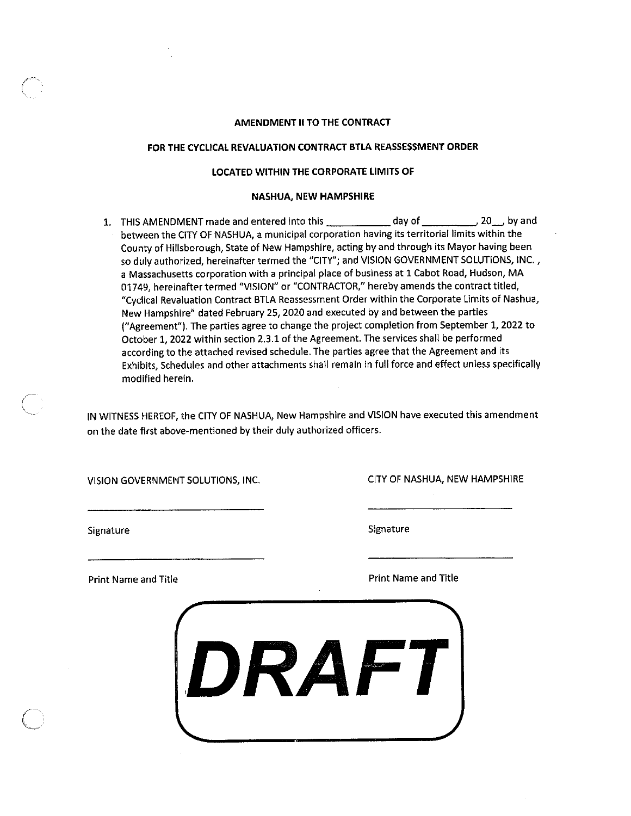## AMENDMENT II TO THE CONTRACT

## FOR THE CYCLICAL REVALUATION CONTRACT BTLA REASSESSMENT ORDER

## LOCATED WITHIN THE CORPORATE LIMITS OF

#### NASHUA, NEW HAMPSHIRE

1. THIS AMENDMENT made and entered into this \_\_\_\_\_\_\_\_\_\_\_\_ day of \_\_\_\_\_\_\_\_\_\_, 2Q\_, by and between the CITY OF NASHUA, <sup>a</sup> municipal corporation having its territorial limits within the County of Hillsborough, State of New Hampshire, acting by and through its Mayor having been so duly authorized, hereinafter termed the "CITY"; and VISION GOVERNMENT SOLUTIONS, INC., <sup>a</sup> Massachusetts corporation with <sup>a</sup> principal place of business at 1 Cabot Road, Hudson, MA 01749, hereinafter termed "VISION" or "CONTRACTOR," hereby amends the contract titled, "Cyclical Revaluation Contract BTLA Reassessment Order within the Corporate Limits of Nashua, New Hampshire" dated February 25, 2020 and executed by and between the parties ("Agreement"). The parties agree to change the project completion from September 1,2022 to October 1,2022 within section 2.3.1 of the Agreement. The services shall be performed according to the attached revised schedule. The parties agree that the Agreement and its Exhibits, Schedules and other attachments shall remain in full force and effect unless specifically modified herein.

IN WITNESS HEREOF, the CITY OF NASHUA, New Hampshire and VISION have executed this amendment on the date first above-mentioned by their duly authorized officers.

VISION GOVERNMENT SOLUTIONS, INC. CITY OF NASHUA, NEW HAMPSHIRE

Signature Signature Signature Signature Signature Signature

Print Name and Title **Print Name and Title** Print Name and Title